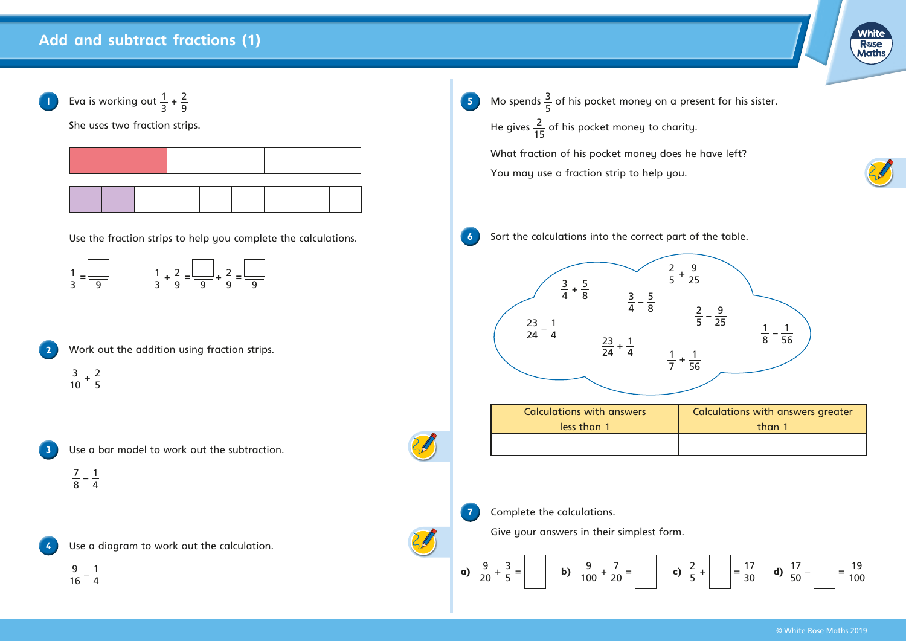## **Add and subtract fractions (1)**